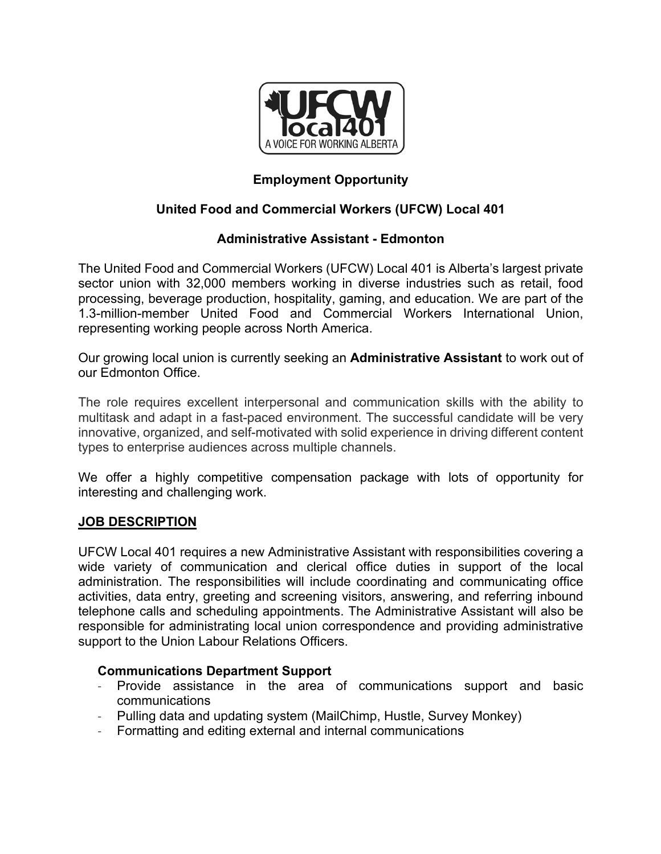

## **Employment Opportunity**

### **United Food and Commercial Workers (UFCW) Local 401**

### **Administrative Assistant - Edmonton**

The United Food and Commercial Workers (UFCW) Local 401 is Alberta's largest private sector union with 32,000 members working in diverse industries such as retail, food processing, beverage production, hospitality, gaming, and education. We are part of the 1.3-million-member United Food and Commercial Workers International Union, representing working people across North America.

Our growing local union is currently seeking an **Administrative Assistant** to work out of our Edmonton Office.

The role requires excellent interpersonal and communication skills with the ability to multitask and adapt in a fast-paced environment. The successful candidate will be very innovative, organized, and self-motivated with solid experience in driving different content types to enterprise audiences across multiple channels.

We offer a highly competitive compensation package with lots of opportunity for interesting and challenging work.

#### **JOB DESCRIPTION**

UFCW Local 401 requires a new Administrative Assistant with responsibilities covering a wide variety of communication and clerical office duties in support of the local administration. The responsibilities will include coordinating and communicating office activities, data entry, greeting and screening visitors, answering, and referring inbound telephone calls and scheduling appointments. The Administrative Assistant will also be responsible for administrating local union correspondence and providing administrative support to the Union Labour Relations Officers.

#### **Communications Department Support**

- Provide assistance in the area of communications support and basic communications
- Pulling data and updating system (MailChimp, Hustle, Survey Monkey)
- Formatting and editing external and internal communications